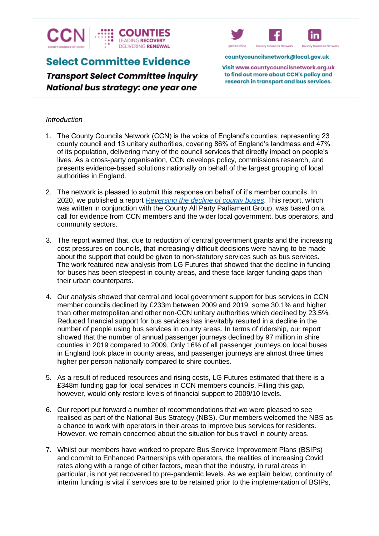

# **Select Committee Evidence**

**Transport Select Committee inquiry** National bus strategy: one year one



countycouncilsnetwork@local.gov.uk

Visit www.countycouncilsnetwork.org.uk to find out more about CCN's policy and research in transport and bus services.

## *Introduction*

- 1. The County Councils Network (CCN) is the voice of England's counties, representing 23 county council and 13 unitary authorities, covering 86% of England's landmass and 47% of its population, delivering many of the council services that directly impact on people's lives. As a cross-party organisation, CCN develops policy, commissions research, and presents evidence-based solutions nationally on behalf of the largest grouping of local authorities in England.
- 2. The network is pleased to submit this response on behalf of it's member councils. In 2020, we published a report *[Reversing the decline of county buses](https://www.countycouncilsnetwork.org.uk/download/3294/)*. This report, which was written in conjunction with the County All Party Parliament Group, was based on a call for evidence from CCN members and the wider local government, bus operators, and community sectors.
- 3. The report warned that, due to reduction of central government grants and the increasing cost pressures on councils, that increasingly difficult decisions were having to be made about the support that could be given to non-statutory services such as bus services. The work featured new analysis from LG Futures that showed that the decline in funding for buses has been steepest in county areas, and these face larger funding gaps than their urban counterparts.
- 4. Our analysis showed that central and local government support for bus services in CCN member councils declined by £233m between 2009 and 2019, some 30.1% and higher than other metropolitan and other non-CCN unitary authorities which declined by 23.5%. Reduced financial support for bus services has inevitably resulted in a decline in the number of people using bus services in county areas. In terms of ridership, our report showed that the number of annual passenger journeys declined by 97 million in shire counties in 2019 compared to 2009. Only 16% of all passenger journeys on local buses in England took place in county areas, and passenger journeys are almost three times higher per person nationally compared to shire counties.
- 5. As a result of reduced resources and rising costs, LG Futures estimated that there is a £348m funding gap for local services in CCN members councils. Filling this gap, however, would only restore levels of financial support to 2009/10 levels.
- 6. Our report put forward a number of recommendations that we were pleased to see realised as part of the National Bus Strategy (NBS). Our members welcomed the NBS as a chance to work with operators in their areas to improve bus services for residents. However, we remain concerned about the situation for bus travel in county areas.
- 7. Whilst our members have worked to prepare Bus Service Improvement Plans (BSIPs) and commit to Enhanced Partnerships with operators, the realities of increasing Covid rates along with a range of other factors, mean that the industry, in rural areas in particular, is not yet recovered to pre-pandemic levels. As we explain below, continuity of interim funding is vital if services are to be retained prior to the implementation of BSIPs,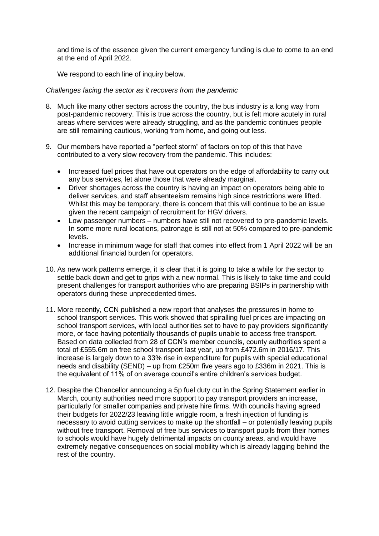and time is of the essence given the current emergency funding is due to come to an end at the end of April 2022.

We respond to each line of inquiry below.

## *Challenges facing the sector as it recovers from the pandemic*

- 8. Much like many other sectors across the country, the bus industry is a long way from post-pandemic recovery. This is true across the country, but is felt more acutely in rural areas where services were already struggling, and as the pandemic continues people are still remaining cautious, working from home, and going out less.
- 9. Our members have reported a "perfect storm" of factors on top of this that have contributed to a very slow recovery from the pandemic. This includes:
	- Increased fuel prices that have out operators on the edge of affordability to carry out any bus services, let alone those that were already marginal.
	- Driver shortages across the country is having an impact on operators being able to deliver services, and staff absenteeism remains high since restrictions were lifted. Whilst this may be temporary, there is concern that this will continue to be an issue given the recent campaign of recruitment for HGV drivers.
	- Low passenger numbers numbers have still not recovered to pre-pandemic levels. In some more rural locations, patronage is still not at 50% compared to pre-pandemic levels.
	- Increase in minimum wage for staff that comes into effect from 1 April 2022 will be an additional financial burden for operators.
- 10. As new work patterns emerge, it is clear that it is going to take a while for the sector to settle back down and get to grips with a new normal. This is likely to take time and could present challenges for transport authorities who are preparing BSIPs in partnership with operators during these unprecedented times.
- 11. More recently, CCN published a new report that analyses the pressures in home to school transport services. This work showed that spiralling fuel prices are impacting on school transport services, with local authorities set to have to pay providers significantly more, or face having potentially thousands of pupils unable to access free transport. Based on data collected from 28 of CCN's member councils, county authorities spent a total of £555.6m on free school transport last year, up from £472.6m in 2016/17. This increase is largely down to a 33% rise in expenditure for pupils with special educational needs and disability (SEND) – up from £250m five years ago to £336m in 2021. This is the equivalent of 11% of on average council's entire children's services budget.
- 12. Despite the Chancellor announcing a 5p fuel duty cut in the Spring Statement earlier in March, county authorities need more support to pay transport providers an increase, particularly for smaller companies and private hire firms. With councils having agreed their budgets for 2022/23 leaving little wriggle room, a fresh injection of funding is necessary to avoid cutting services to make up the shortfall – or potentially leaving pupils without free transport. Removal of free bus services to transport pupils from their homes to schools would have hugely detrimental impacts on county areas, and would have extremely negative consequences on social mobility which is already lagging behind the rest of the country.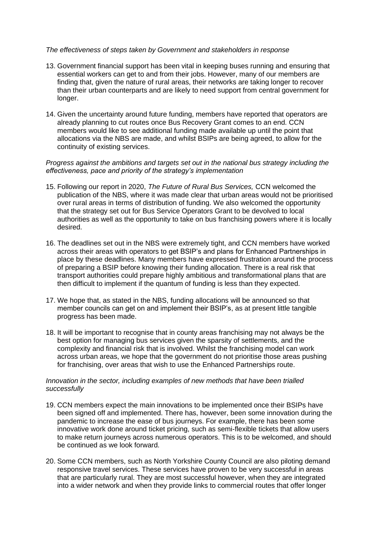#### *The effectiveness of steps taken by Government and stakeholders in response*

- 13. Government financial support has been vital in keeping buses running and ensuring that essential workers can get to and from their jobs. However, many of our members are finding that, given the nature of rural areas, their networks are taking longer to recover than their urban counterparts and are likely to need support from central government for longer.
- 14. Given the uncertainty around future funding, members have reported that operators are already planning to cut routes once Bus Recovery Grant comes to an end. CCN members would like to see additional funding made available up until the point that allocations via the NBS are made, and whilst BSIPs are being agreed, to allow for the continuity of existing services.

## *Progress against the ambitions and targets set out in the national bus strategy including the effectiveness, pace and priority of the strategy's implementation*

- 15. Following our report in 2020, *The Future of Rural Bus Services,* CCN welcomed the publication of the NBS, where it was made clear that urban areas would not be prioritised over rural areas in terms of distribution of funding. We also welcomed the opportunity that the strategy set out for Bus Service Operators Grant to be devolved to local authorities as well as the opportunity to take on bus franchising powers where it is locally desired.
- 16. The deadlines set out in the NBS were extremely tight, and CCN members have worked across their areas with operators to get BSIP's and plans for Enhanced Partnerships in place by these deadlines. Many members have expressed frustration around the process of preparing a BSIP before knowing their funding allocation. There is a real risk that transport authorities could prepare highly ambitious and transformational plans that are then difficult to implement if the quantum of funding is less than they expected.
- 17. We hope that, as stated in the NBS, funding allocations will be announced so that member councils can get on and implement their BSIP's, as at present little tangible progress has been made.
- 18. It will be important to recognise that in county areas franchising may not always be the best option for managing bus services given the sparsity of settlements, and the complexity and financial risk that is involved. Whilst the franchising model can work across urban areas, we hope that the government do not prioritise those areas pushing for franchising, over areas that wish to use the Enhanced Partnerships route.

## *Innovation in the sector, including examples of new methods that have been trialled successfully*

- 19. CCN members expect the main innovations to be implemented once their BSIPs have been signed off and implemented. There has, however, been some innovation during the pandemic to increase the ease of bus journeys. For example, there has been some innovative work done around ticket pricing, such as semi-flexible tickets that allow users to make return journeys across numerous operators. This is to be welcomed, and should be continued as we look forward.
- 20. Some CCN members, such as North Yorkshire County Council are also piloting demand responsive travel services. These services have proven to be very successful in areas that are particularly rural. They are most successful however, when they are integrated into a wider network and when they provide links to commercial routes that offer longer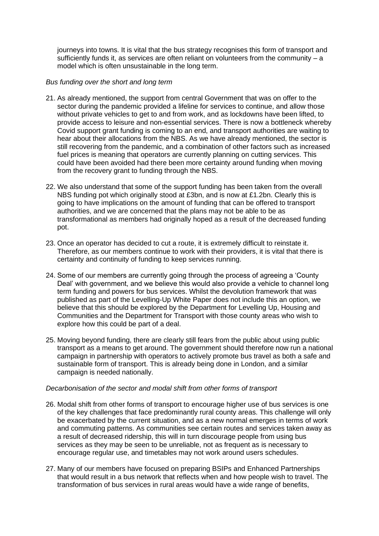journeys into towns. It is vital that the bus strategy recognises this form of transport and sufficiently funds it, as services are often reliant on volunteers from the community  $- a$ model which is often unsustainable in the long term.

#### *Bus funding over the short and long term*

- 21. As already mentioned, the support from central Government that was on offer to the sector during the pandemic provided a lifeline for services to continue, and allow those without private vehicles to get to and from work, and as lockdowns have been lifted, to provide access to leisure and non-essential services. There is now a bottleneck whereby Covid support grant funding is coming to an end, and transport authorities are waiting to hear about their allocations from the NBS. As we have already mentioned, the sector is still recovering from the pandemic, and a combination of other factors such as increased fuel prices is meaning that operators are currently planning on cutting services. This could have been avoided had there been more certainty around funding when moving from the recovery grant to funding through the NBS.
- 22. We also understand that some of the support funding has been taken from the overall NBS funding pot which originally stood at £3bn, and is now at £1.2bn. Clearly this is going to have implications on the amount of funding that can be offered to transport authorities, and we are concerned that the plans may not be able to be as transformational as members had originally hoped as a result of the decreased funding pot.
- 23. Once an operator has decided to cut a route, it is extremely difficult to reinstate it. Therefore, as our members continue to work with their providers, it is vital that there is certainty and continuity of funding to keep services running.
- 24. Some of our members are currently going through the process of agreeing a 'County Deal' with government, and we believe this would also provide a vehicle to channel long term funding and powers for bus services. Whilst the devolution framework that was published as part of the Levelling-Up White Paper does not include this an option, we believe that this should be explored by the Department for Levelling Up, Housing and Communities and the Department for Transport with those county areas who wish to explore how this could be part of a deal.
- 25. Moving beyond funding, there are clearly still fears from the public about using public transport as a means to get around. The government should therefore now run a national campaign in partnership with operators to actively promote bus travel as both a safe and sustainable form of transport. This is already being done in London, and a similar campaign is needed nationally.

#### *Decarbonisation of the sector and modal shift from other forms of transport*

- 26. Modal shift from other forms of transport to encourage higher use of bus services is one of the key challenges that face predominantly rural county areas. This challenge will only be exacerbated by the current situation, and as a new normal emerges in terms of work and commuting patterns. As communities see certain routes and services taken away as a result of decreased ridership, this will in turn discourage people from using bus services as they may be seen to be unreliable, not as frequent as is necessary to encourage regular use, and timetables may not work around users schedules.
- 27. Many of our members have focused on preparing BSIPs and Enhanced Partnerships that would result in a bus network that reflects when and how people wish to travel. The transformation of bus services in rural areas would have a wide range of benefits,